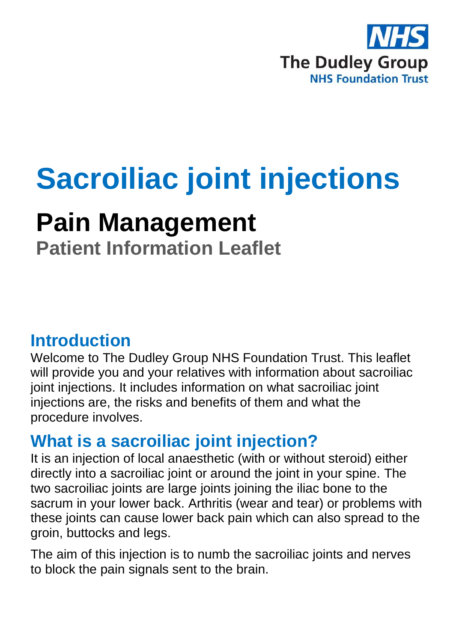

# **Sacroiliac joint injections**

## **Pain Management**

**Patient Information Leaflet**

### **Introduction**

Welcome to The Dudley Group NHS Foundation Trust. This leaflet will provide you and your relatives with information about sacroiliac joint injections. It includes information on what sacroiliac joint injections are, the risks and benefits of them and what the procedure involves.

### **What is a sacroiliac joint injection?**

It is an injection of local anaesthetic (with or without steroid) either directly into a sacroiliac joint or around the joint in your spine. The two sacroiliac joints are large joints joining the iliac bone to the sacrum in your lower back. Arthritis (wear and tear) or problems with these joints can cause lower back pain which can also spread to the groin, buttocks and legs.

The aim of this injection is to numb the sacroiliac joints and nerves to block the pain signals sent to the brain.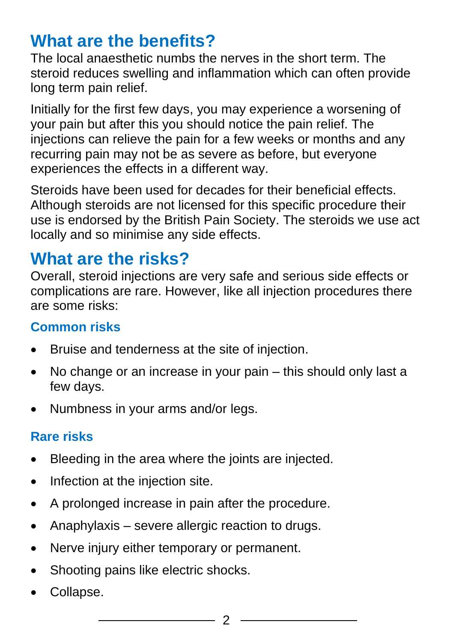### **What are the benefits?**

The local anaesthetic numbs the nerves in the short term. The steroid reduces swelling and inflammation which can often provide long term pain relief.

Initially for the first few days, you may experience a worsening of your pain but after this you should notice the pain relief. The injections can relieve the pain for a few weeks or months and any recurring pain may not be as severe as before, but everyone experiences the effects in a different way.

Steroids have been used for decades for their beneficial effects. Although steroids are not licensed for this specific procedure their use is endorsed by the British Pain Society. The steroids we use act locally and so minimise any side effects.

### **What are the risks?**

Overall, steroid injections are very safe and serious side effects or complications are rare. However, like all injection procedures there are some risks:

#### **Common risks**

- Bruise and tenderness at the site of injection.
- No change or an increase in your pain this should only last a few days.
- Numbness in your arms and/or legs.

#### **Rare risks**

- Bleeding in the area where the joints are injected.
- Infection at the injection site.
- A prolonged increase in pain after the procedure.
- Anaphylaxis severe allergic reaction to drugs.
- Nerve injury either temporary or permanent.
- Shooting pains like electric shocks.
- Collapse.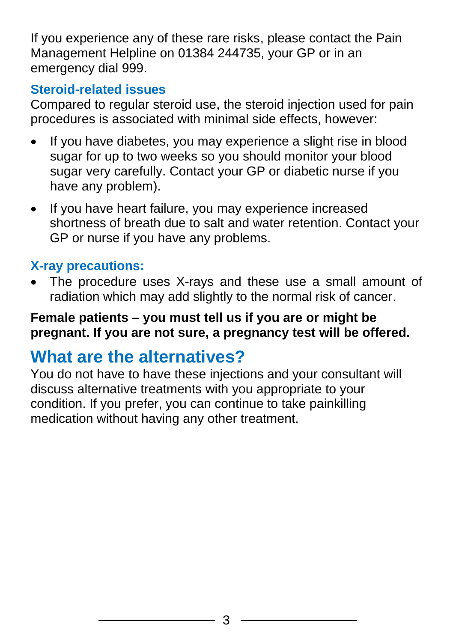If you experience any of these rare risks, please contact the Pain Management Helpline on 01384 244735, your GP or in an emergency dial 999.

#### **Steroid-related issues**

Compared to regular steroid use, the steroid injection used for pain procedures is associated with minimal side effects, however:

- If you have diabetes, you may experience a slight rise in blood sugar for up to two weeks so you should monitor your blood sugar very carefully. Contact your GP or diabetic nurse if you have any problem).
- If you have heart failure, you may experience increased shortness of breath due to salt and water retention. Contact your GP or nurse if you have any problems.

#### **X-ray precautions:**

• The procedure uses X-rays and these use a small amount of radiation which may add slightly to the normal risk of cancer.

#### **Female patients – you must tell us if you are or might be pregnant. If you are not sure, a pregnancy test will be offered.**

### **What are the alternatives?**

You do not have to have these injections and your consultant will discuss alternative treatments with you appropriate to your condition. If you prefer, you can continue to take painkilling medication without having any other treatment.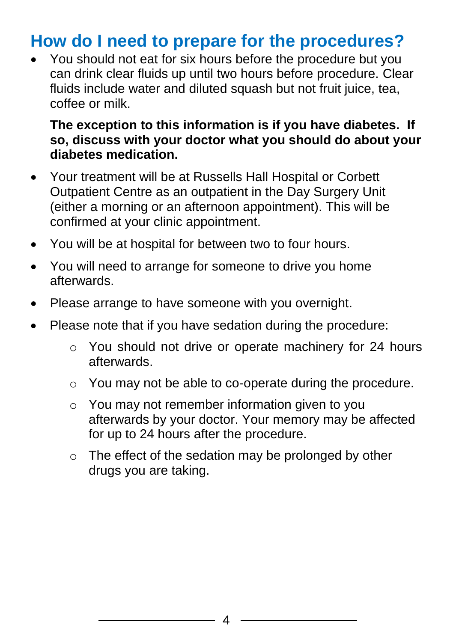### **How do I need to prepare for the procedures?**

• You should not eat for six hours before the procedure but you can drink clear fluids up until two hours before procedure. Clear fluids include water and diluted squash but not fruit juice, tea, coffee or milk.

#### **The exception to this information is if you have diabetes. If so, discuss with your doctor what you should do about your diabetes medication.**

- Your treatment will be at Russells Hall Hospital or Corbett Outpatient Centre as an outpatient in the Day Surgery Unit (either a morning or an afternoon appointment). This will be confirmed at your clinic appointment.
- You will be at hospital for between two to four hours.
- You will need to arrange for someone to drive you home afterwards.
- Please arrange to have someone with you overnight.
- Please note that if you have sedation during the procedure:
	- o You should not drive or operate machinery for 24 hours afterwards.
	- o You may not be able to co-operate during the procedure.
	- o You may not remember information given to you afterwards by your doctor. Your memory may be affected for up to 24 hours after the procedure.
	- o The effect of the sedation may be prolonged by other drugs you are taking.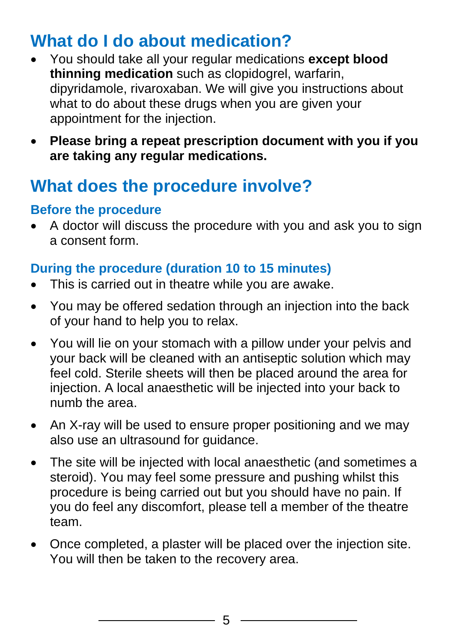### **What do I do about medication?**

- You should take all your regular medications **except blood thinning medication** such as clopidogrel, warfarin, dipyridamole, rivaroxaban. We will give you instructions about what to do about these drugs when you are given your appointment for the injection.
- **Please bring a repeat prescription document with you if you are taking any regular medications.**

### **What does the procedure involve?**

#### **Before the procedure**

• A doctor will discuss the procedure with you and ask you to sign a consent form.

#### **During the procedure (duration 10 to 15 minutes)**

- This is carried out in theatre while you are awake.
- You may be offered sedation through an injection into the back of your hand to help you to relax.
- You will lie on your stomach with a pillow under your pelvis and your back will be cleaned with an antiseptic solution which may feel cold. Sterile sheets will then be placed around the area for injection. A local anaesthetic will be injected into your back to numb the area.
- An X-ray will be used to ensure proper positioning and we may also use an ultrasound for guidance.
- The site will be injected with local anaesthetic (and sometimes a steroid). You may feel some pressure and pushing whilst this procedure is being carried out but you should have no pain. If you do feel any discomfort, please tell a member of the theatre team.
- Once completed, a plaster will be placed over the injection site. You will then be taken to the recovery area.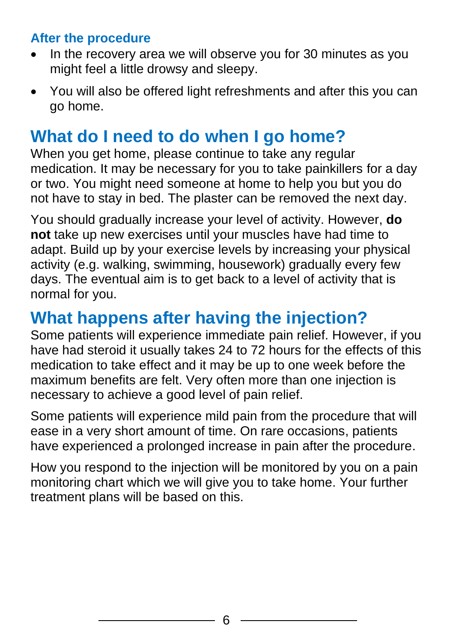#### **After the procedure**

- In the recovery area we will observe you for 30 minutes as you might feel a little drowsy and sleepy.
- You will also be offered light refreshments and after this you can go home.

### **What do I need to do when I go home?**

When you get home, please continue to take any regular medication. It may be necessary for you to take painkillers for a day or two. You might need someone at home to help you but you do not have to stay in bed. The plaster can be removed the next day.

You should gradually increase your level of activity. However, **do not** take up new exercises until your muscles have had time to adapt. Build up by your exercise levels by increasing your physical activity (e.g. walking, swimming, housework) gradually every few days. The eventual aim is to get back to a level of activity that is normal for you.

### **What happens after having the injection?**

Some patients will experience immediate pain relief. However, if you have had steroid it usually takes 24 to 72 hours for the effects of this medication to take effect and it may be up to one week before the maximum benefits are felt. Very often more than one injection is necessary to achieve a good level of pain relief.

Some patients will experience mild pain from the procedure that will ease in a very short amount of time. On rare occasions, patients have experienced a prolonged increase in pain after the procedure.

How you respond to the injection will be monitored by you on a pain monitoring chart which we will give you to take home. Your further treatment plans will be based on this.